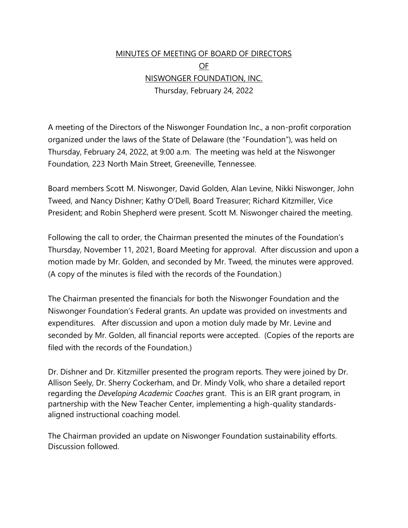## MINUTES OF MEETING OF BOARD OF DIRECTORS OF NISWONGER FOUNDATION, INC. Thursday, February 24, 2022

A meeting of the Directors of the Niswonger Foundation Inc., a non-profit corporation organized under the laws of the State of Delaware (the "Foundation"), was held on Thursday, February 24, 2022, at 9:00 a.m. The meeting was held at the Niswonger Foundation, 223 North Main Street, Greeneville, Tennessee.

Board members Scott M. Niswonger, David Golden, Alan Levine, Nikki Niswonger, John Tweed, and Nancy Dishner; Kathy O'Dell, Board Treasurer; Richard Kitzmiller, Vice President; and Robin Shepherd were present. Scott M. Niswonger chaired the meeting.

Following the call to order, the Chairman presented the minutes of the Foundation's Thursday, November 11, 2021, Board Meeting for approval. After discussion and upon a motion made by Mr. Golden, and seconded by Mr. Tweed, the minutes were approved. (A copy of the minutes is filed with the records of the Foundation.)

The Chairman presented the financials for both the Niswonger Foundation and the Niswonger Foundation's Federal grants. An update was provided on investments and expenditures. After discussion and upon a motion duly made by Mr. Levine and seconded by Mr. Golden, all financial reports were accepted. (Copies of the reports are filed with the records of the Foundation.)

Dr. Dishner and Dr. Kitzmiller presented the program reports. They were joined by Dr. Allison Seely, Dr. Sherry Cockerham, and Dr. Mindy Volk, who share a detailed report regarding the *Developing Academic Coaches* grant. This is an EIR grant program, in partnership with the New Teacher Center, implementing a high-quality standardsaligned instructional coaching model.

The Chairman provided an update on Niswonger Foundation sustainability efforts. Discussion followed.